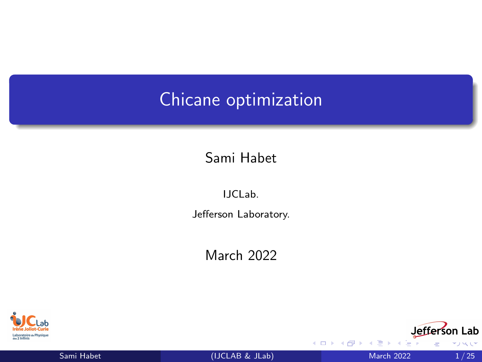# <span id="page-0-0"></span>Chicane optimization

Sami Habet

IJCLab. Jefferson Laboratory.

March 2022



Sami Habet [\(IJCLAB & JLab\)](#page-24-0) March 2022 1/25



4 D F

へい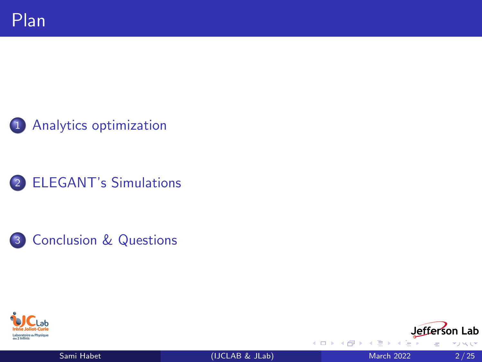











4 0 F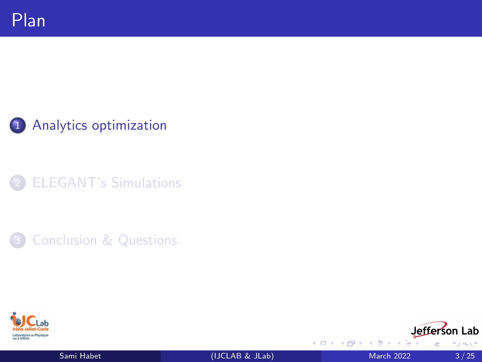<span id="page-2-0"></span>1 [Analytics optimization](#page-2-0)



**[Conclusion & Questions](#page-23-0)** 





Þ  $-4$ 

**4 ロ ト 4 何 ト**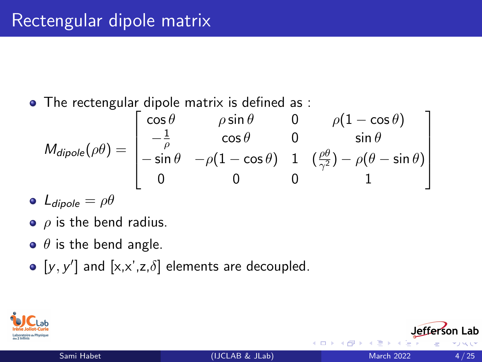• The rectengular dipole matrix is defined as :

$$
M_{dipole}(\rho\theta) = \begin{bmatrix} \cos\theta & \rho\sin\theta & 0 & \rho(1-\cos\theta) \\ -\frac{1}{\rho} & \cos\theta & 0 & \sin\theta \\ -\sin\theta & -\rho(1-\cos\theta) & 1 & (\frac{\rho\theta}{\gamma^2}) - \rho(\theta-\sin\theta) \\ 0 & 0 & 0 & 1 \end{bmatrix}
$$

- $\bullet$  L<sub>dipole</sub> =  $\rho\theta$
- $\bullet$   $\rho$  is the bend radius.
- $\bullet$   $\theta$  is the bend angle.
- $[y, y']$  and  $[x, x', z, \delta]$  elements are decoupled.

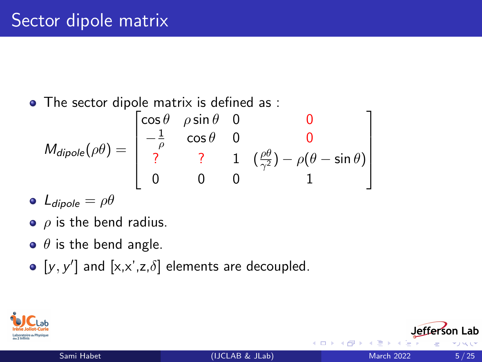The sector dipole matrix is defined as :

$$
M_{dipole}(\rho\theta) = \begin{bmatrix} \cos\theta & \rho\sin\theta & 0 & 0 \\ -\frac{1}{\rho} & \cos\theta & 0 & 0 \\ ? & ? & 1 & (\frac{\rho\theta}{\gamma^2}) - \rho(\theta - \sin\theta) \\ 0 & 0 & 0 & 1 \end{bmatrix}
$$

- $\bullet$  L<sub>dipole</sub> =  $\rho\theta$
- $\bullet$   $\rho$  is the bend radius.
- $\bullet$   $\theta$  is the bend angle.
- $[y, y']$  and  $[x, x', z, \delta]$  elements are decoupled.

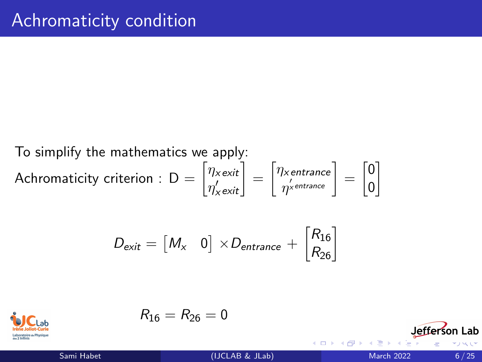#### To simplify the mathematics we apply: Achromaticity criterion : D  $=$   $\begin{bmatrix} \eta_{x \textit{exit}} \ \omega' \end{bmatrix}$  $\begin{bmatrix} \eta_{\mathsf{x}\,\mathsf{exit}}\ \eta_{\mathsf{x}\,\mathsf{exit}}' \end{bmatrix} = \begin{bmatrix} \eta_{\mathsf{x}\,\mathsf{entrance}}\ \eta_{\mathsf{x}\,\mathsf{entrance}}' \end{bmatrix}$  $\left[\begin{smallmatrix} \eta^\prime\chi\emph{entrance} \ \eta^\prime\chi\emph{entrance} \end{smallmatrix}\right] = \left[\begin{smallmatrix} 0 \ 0 \end{smallmatrix}\right]$ 0 1

$$
D_{\text{exit}} = \begin{bmatrix} M_{\text{x}} & 0 \end{bmatrix} \times D_{\text{entrance}} + \begin{bmatrix} R_{16} \\ R_{26} \end{bmatrix}
$$



$$
R_{16}=R_{26}=0
$$

Sami Habet [\(IJCLAB & JLab\)](#page-0-0) March 2022 6/25

**∢ ロ ▶ ィ 何 ▶ ィ**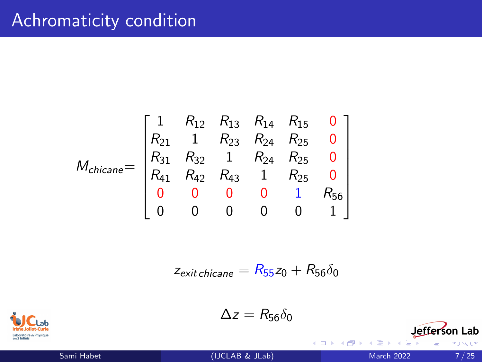# Achromaticity condition

$$
M_{chicane} = \begin{bmatrix} 1 & R_{12} & R_{13} & R_{14} & R_{15} & 0 \\ R_{21} & 1 & R_{23} & R_{24} & R_{25} & 0 \\ R_{31} & R_{32} & 1 & R_{24} & R_{25} & 0 \\ R_{41} & R_{42} & R_{43} & 1 & R_{25} & 0 \\ 0 & 0 & 0 & 0 & 1 & R_{56} \\ 0 & 0 & 0 & 0 & 0 & 1 \end{bmatrix}
$$

$$
z_{\text{exit} \text{ chickene}} = R_{55} z_0 + R_{56} \delta_0
$$



 $\Delta z = R_{56}\delta_0$ 

Sami Habet [\(IJCLAB & JLab\)](#page-0-0) March 2022 7/25

Þ

 $\leftarrow$   $\Box$ 

- ← 冊 →  $\mathcal{A}$  .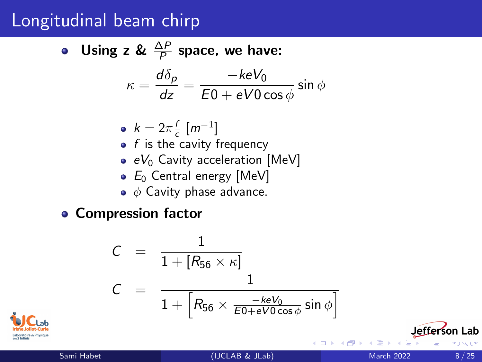### Longitudinal beam chirp

• Using z & 
$$
\frac{\Delta P}{P}
$$
 space, we have:  

$$
\kappa = \frac{d\delta_p}{dz} = \frac{-keV_0}{E0 + eV0\cos\phi}\sin\phi
$$

$$
\bullet \ \ k = 2\pi \frac{f}{c} \ [m^{-1}]
$$

- $\begin{array}{c} \kappa \varepsilon \kappa_c \ \kappa \end{array}$  is the cavity frequency
- $\bullet$  eV<sub>0</sub> Cavity acceleration [MeV]
- $\bullet$   $E_0$  Central energy [MeV]
- $\bullet \phi$  Cavity phase advance.

**• Compression factor** 

$$
C = \frac{1}{1 + [R_{56} \times \kappa]}
$$
  

$$
C = \frac{1}{1 + [R_{56} \times \frac{-keV_0}{E0 + eV0 \cos \phi} \sin \phi]}
$$

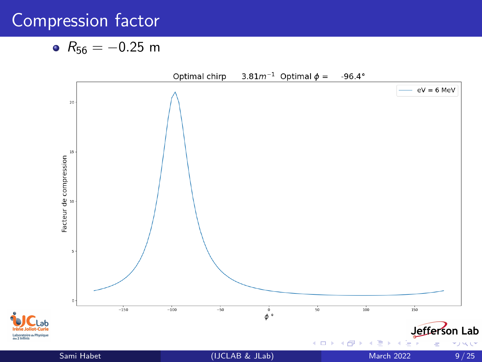# Compression factor

$$
\bullet \ \ R_{56}=-0.25 \ \text{m}
$$

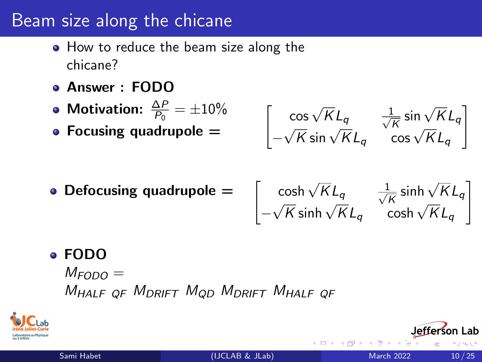### Beam size along the chicane

- How to reduce the beam size along the chicane?
- Answer : FODO
- Motivation:  $\frac{\Delta P}{P_0} = \pm 10\%$
- Focusing quadrupole  $=$

$$
\begin{bmatrix}\n\cos\sqrt{K}L_q & \frac{1}{\sqrt{K}}\sin\sqrt{K}L_q \\
-\sqrt{K}\sin\sqrt{K}L_q & \cos\sqrt{K}L_q\n\end{bmatrix}
$$

• Defocusing quadrupole  $=$ 

$$
\begin{bmatrix}\n\cosh\sqrt{K}L_q & \frac{1}{\sqrt{K}}\sinh\sqrt{K}L_q \\
-\sqrt{K}\sinh\sqrt{K}L_q & \cosh\sqrt{K}L_q\n\end{bmatrix}
$$

### FODO

 $M_{FODO} =$ M<sub>HALF OF</sub> M<sub>DRIFT</sub> M<sub>OD</sub> M<sub>DRIFT</sub> M<sub>HALF</sub> OF



1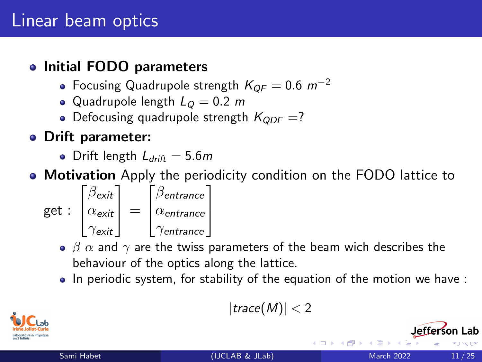# Linear beam optics

#### • Initial FODO parameters

- Focusing Quadrupole strength  $K_{OF} = 0.6$  m<sup>-2</sup>
- Quadrupole length  $L<sub>O</sub> = 0.2$  m
- Defocusing quadrupole strength  $K_{QDF}$  =?

### Drift parameter:

- Drift length  $L_{drift} = 5.6m$
- **Motivation** Apply the periodicity condition on the FODO lattice to

get : 
$$
\begin{bmatrix} \beta_{exit} \\ \alpha_{exit} \\ \gamma_{exit} \end{bmatrix} = \begin{bmatrix} \beta_{entrance} \\ \alpha_{entrance} \\ \gamma_{entrance} \end{bmatrix}
$$

- $\beta$   $\alpha$  and  $\gamma$  are the twiss parameters of the beam wich describes the behaviour of the optics along the lattice.
- $\bullet$  In periodic system, for stability of the equation of the motion we have :

 $|trace(M)| < 2$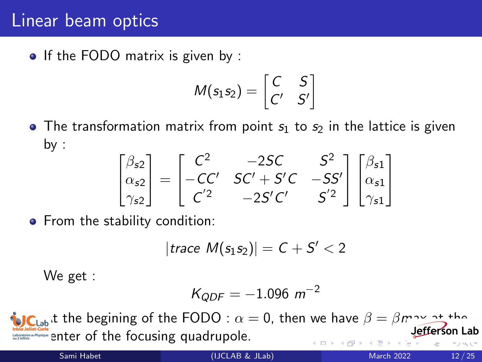### Linear beam optics

• If the FODO matrix is given by :

$$
M(s_1s_2)=\begin{bmatrix}C&S\\C'&S'\end{bmatrix}
$$

• The transformation matrix from point  $s_1$  to  $s_2$  in the lattice is given by :

$$
\begin{bmatrix}\n\beta_{s2} \\
\alpha_{s2} \\
\gamma_{s2}\n\end{bmatrix} = \begin{bmatrix}\nC^2 & -2SC & S^2 \\
-CC' & SC' + S'C & -SS'\n\end{bmatrix} \begin{bmatrix}\n\beta_{s1} \\
\alpha_{s1} \\
\gamma_{s2}\n\end{bmatrix}
$$

• From the stability condition:

$$
|{\textit{trace}}~{\mathit{M}}(s_1s_2)|=C+S'<2
$$

We get :

$$
K_{QDF} = -1.096 \, m^{-2}
$$

**IC**<sub>Lab</sub> it the begining of the FODO :  $\alpha = 0$ , then we have  $\beta = \beta m \sim 2^+$  then efferson Lab Inter Journal Counter of the focusing quadrupole.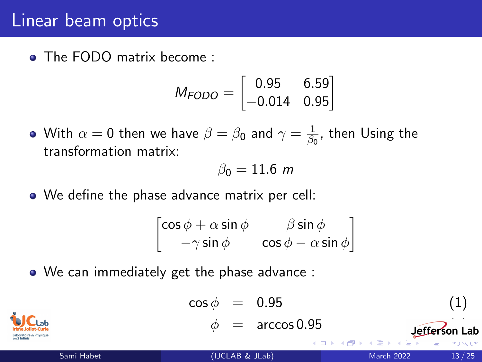### Linear beam optics

• The FODO matrix become :

$$
M_{FODO} = \begin{bmatrix} 0.95 & 6.59 \\ -0.014 & 0.95 \end{bmatrix}
$$

With  $\alpha=0$  then we have  $\beta=\beta_0$  and  $\gamma=\frac{1}{\beta_0}$  $\frac{1}{\beta_0}$ , then Using the transformation matrix:

$$
\beta_0=11.6\,\,m
$$

We define the phase advance matrix per cell:

$$
\begin{bmatrix}\n\cos\phi + \alpha \sin\phi & \beta \sin\phi \\
-\gamma \sin\phi & \cos\phi - \alpha \sin\phi\n\end{bmatrix}
$$

We can immediately get the phase advance :

$$
\cos \phi = 0.95
$$
\n
$$
\phi = \arccos 0.95
$$
\n5ami Habet

\n5ami Habet

\n(IJCLAB & JLab)

\n5ami Habet

\n55.  $\sin \theta$  13/25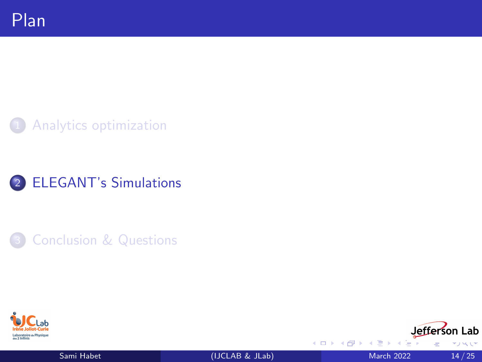<span id="page-13-0"></span>



**[Conclusion & Questions](#page-23-0)** 





Þ

4 0 8

→ 何 ▶  $\mathcal{A}$  . へい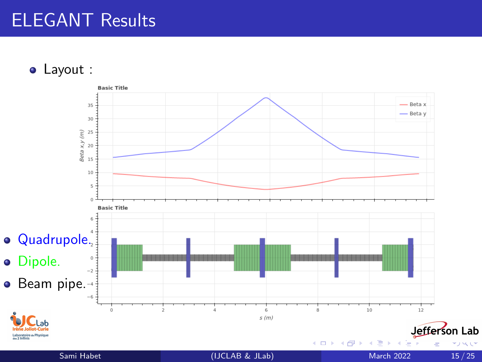# ELEGANT Results

Layout :



へい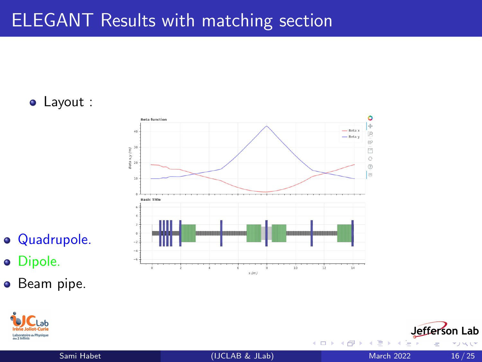# ELEGANT Results with matching section

Layout :



- Quadrupole.
- **o** Dipole.
- **•** Beam pipe.



4 D F

Jefferson Lab

へい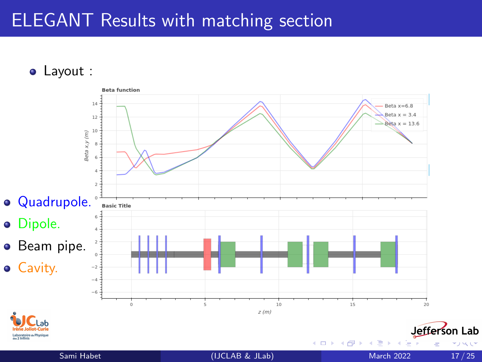# ELEGANT Results with matching section

Layout :



へい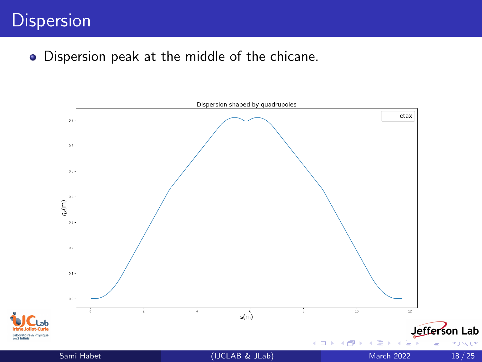# **Dispersion**

Dispersion peak at the middle of the chicane.

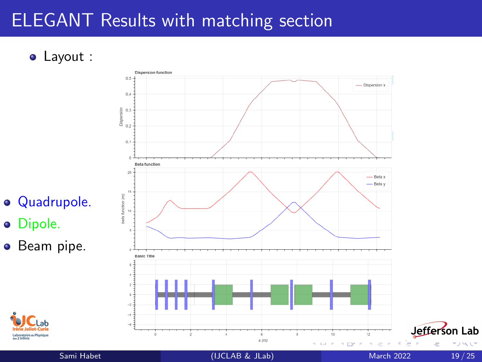# ELEGANT Results with matching section

Layout :



- Quadrupole.
- o Dipole.
- Beam pipe.

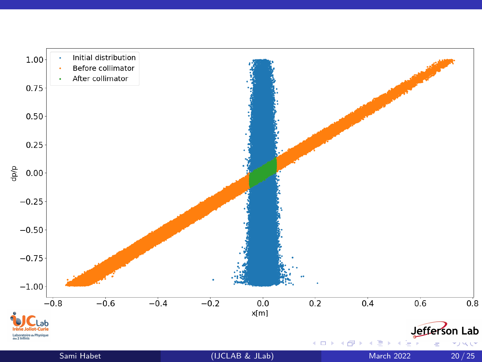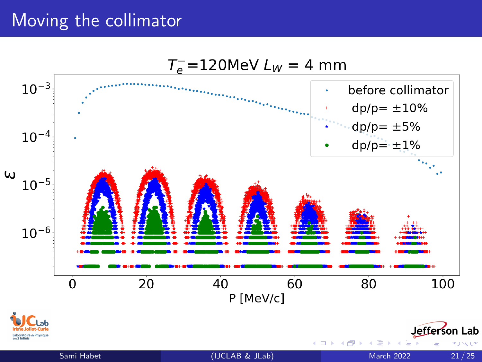### Moving the collimator

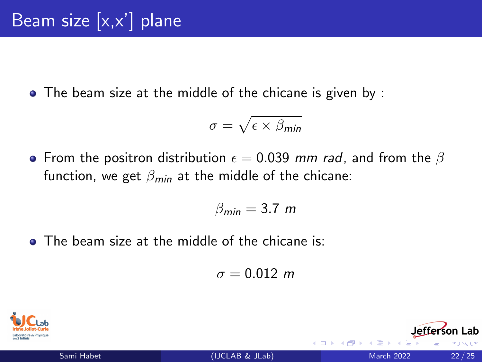The beam size at the middle of the chicane is given by :

$$
\sigma = \sqrt{\epsilon \times \beta_{\text{min}}}
$$

• From the positron distribution  $\epsilon = 0.039$  mm rad, and from the  $\beta$ function, we get  $\beta_{\text{min}}$  at the middle of the chicane:

$$
\beta_{\text{min}}=3.7~m
$$

**• The beam size at the middle of the chicane is:** 

$$
\sigma=0.012~m
$$

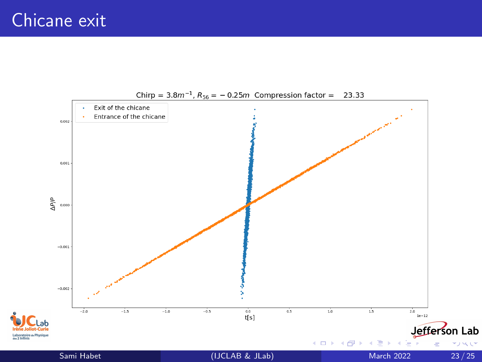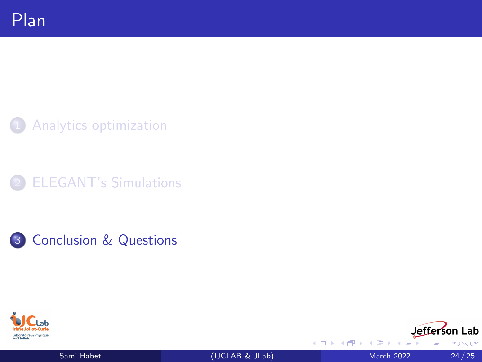<span id="page-23-0"></span>[Analytics optimization](#page-2-0)











4 0 8

→ ● →  $\mathcal{A}$  へい